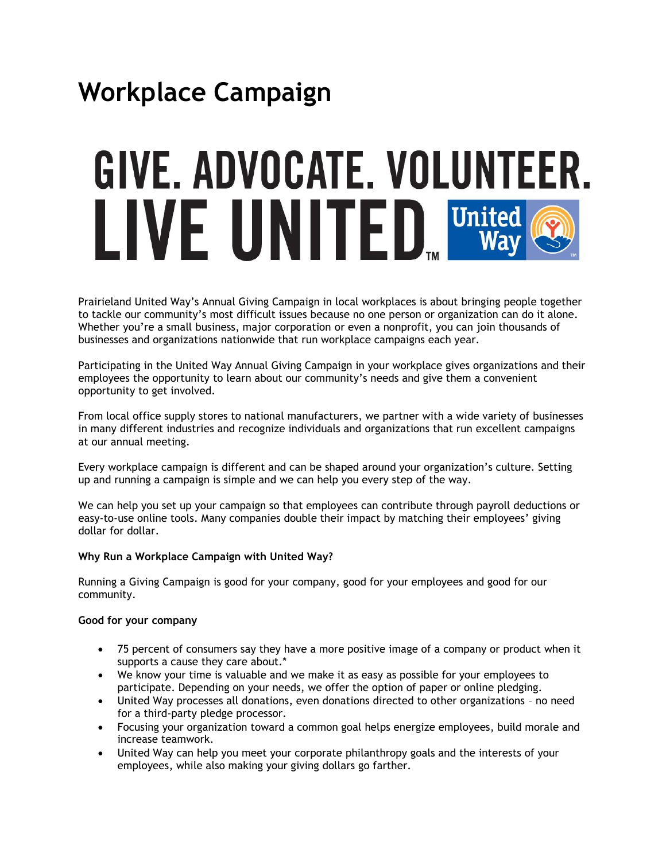# **Workplace Campaign**

# GIVE. ADVOCATE. VOLUNTEER. LIVE UNITED United

Prairieland United Way's Annual Giving Campaign in local workplaces is about bringing people together to tackle our community's most difficult issues because no one person or organization can do it alone. Whether you're a small business, major corporation or even a nonprofit, you can join thousands of businesses and organizations nationwide that run workplace campaigns each year.

Participating in the United Way Annual Giving Campaign in your workplace gives organizations and their employees the opportunity to learn about our community's needs and give them a convenient opportunity to get involved.

From local office supply stores to national manufacturers, we partner with a wide variety of businesses in many different industries and recognize individuals and organizations that run excellent campaigns at our annual meeting.

Every workplace campaign is different and can be shaped around your organization's culture. Setting up and running a campaign is simple and we can help you every step of the way.

We can help you set up your campaign so that employees can contribute through payroll deductions or easy-to-use online tools. Many companies double their impact by matching their employees' giving dollar for dollar.

# **Why Run a Workplace Campaign with United Way?**

Running a Giving Campaign is good for your company, good for your employees and good for our community.

#### **Good for your company**

- 75 percent of consumers say they have a more positive image of a company or product when it supports a cause they care about.\*
- We know your time is valuable and we make it as easy as possible for your employees to participate. Depending on your needs, we offer the option of paper or online pledging.
- United Way processes all donations, even donations directed to other organizations no need for a third-party pledge processor.
- Focusing your organization toward a common goal helps energize employees, build morale and increase teamwork.
- United Way can help you meet your corporate philanthropy goals and the interests of your employees, while also making your giving dollars go farther.